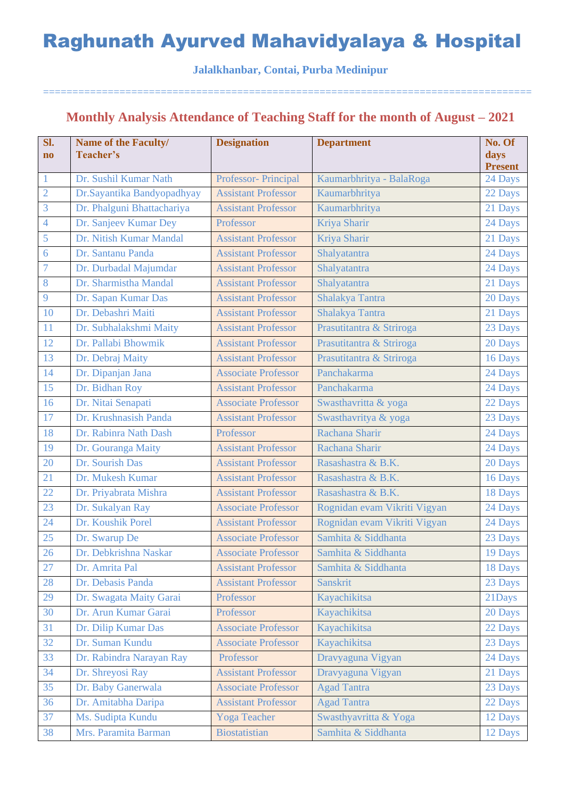#### **Jalalkhanbar, Contai, Purba Medinipur**

===================================================================================

## **Monthly Analysis Attendance of Teaching Staff for the month of August – 2021**

| Sl.<br>$\mathbf{n}\mathbf{o}$ | <b>Name of the Faculty/</b><br>Teacher's | <b>Designation</b>         | <b>Department</b>            | No. Of<br>days<br><b>Present</b> |
|-------------------------------|------------------------------------------|----------------------------|------------------------------|----------------------------------|
| $\mathbf{1}$                  | Dr. Sushil Kumar Nath                    | Professor- Principal       | Kaumarbhritya - BalaRoga     | 24 Days                          |
| $\overline{2}$                | Dr.Sayantika Bandyopadhyay               | <b>Assistant Professor</b> | Kaumarbhritya                | 22 Days                          |
| 3                             | Dr. Phalguni Bhattachariya               | <b>Assistant Professor</b> | Kaumarbhritya                | 21 Days                          |
| $\overline{4}$                | Dr. Sanjeev Kumar Dey                    | Professor                  | Kriya Sharir                 | 24 Days                          |
| 5                             | Dr. Nitish Kumar Mandal                  | <b>Assistant Professor</b> | Kriya Sharir                 | 21 Days                          |
| 6                             | Dr. Santanu Panda                        | <b>Assistant Professor</b> | Shalyatantra                 | 24 Days                          |
| $\overline{7}$                | Dr. Durbadal Majumdar                    | <b>Assistant Professor</b> | Shalyatantra                 | 24 Days                          |
| 8                             | Dr. Sharmistha Mandal                    | <b>Assistant Professor</b> | Shalyatantra                 | 21 Days                          |
| 9                             | Dr. Sapan Kumar Das                      | <b>Assistant Professor</b> | Shalakya Tantra              | 20 Days                          |
| 10                            | Dr. Debashri Maiti                       | <b>Assistant Professor</b> | Shalakya Tantra              | 21 Days                          |
| 11                            | Dr. Subhalakshmi Maity                   | <b>Assistant Professor</b> | Prasutitantra & Striroga     | 23 Days                          |
| 12                            | Dr. Pallabi Bhowmik                      | <b>Assistant Professor</b> | Prasutitantra & Striroga     | 20 Days                          |
| 13                            | Dr. Debraj Maity                         | <b>Assistant Professor</b> | Prasutitantra & Striroga     | 16 Days                          |
| 14                            | Dr. Dipanjan Jana                        | <b>Associate Professor</b> | Panchakarma                  | 24 Days                          |
| 15                            | Dr. Bidhan Roy                           | <b>Assistant Professor</b> | Panchakarma                  | 24 Days                          |
| 16                            | Dr. Nitai Senapati                       | <b>Associate Professor</b> | Swasthavritta & yoga         | 22 Days                          |
| 17                            | Dr. Krushnasish Panda                    | <b>Assistant Professor</b> | Swasthavritya & yoga         | 23 Days                          |
| 18                            | Dr. Rabinra Nath Dash                    | Professor                  | Rachana Sharir               | 24 Days                          |
| 19                            | Dr. Gouranga Maity                       | <b>Assistant Professor</b> | Rachana Sharir               | 24 Days                          |
| 20                            | Dr. Sourish Das                          | <b>Assistant Professor</b> | Rasashastra & B.K.           | 20 Days                          |
| 21                            | Dr. Mukesh Kumar                         | <b>Assistant Professor</b> | Rasashastra & B.K.           | 16 Days                          |
| 22                            | Dr. Priyabrata Mishra                    | <b>Assistant Professor</b> | Rasashastra & B.K.           | 18 Days                          |
| 23                            | Dr. Sukalyan Ray                         | <b>Associate Professor</b> | Rognidan evam Vikriti Vigyan | 24 Days                          |
| 24                            | Dr. Koushik Porel                        | <b>Assistant Professor</b> | Rognidan evam Vikriti Vigyan | 24 Days                          |
| 25                            | Dr. Swarup De                            | <b>Associate Professor</b> | Samhita & Siddhanta          | 23 Days                          |
| 26                            | Dr. Debkrishna Naskar                    | <b>Associate Professor</b> | Samhita & Siddhanta          | 19 Days                          |
| 27                            | Dr. Amrita Pal                           | <b>Assistant Professor</b> | Samhita & Siddhanta          | 18 Days                          |
| 28                            | Dr. Debasis Panda                        | <b>Assistant Professor</b> | Sanskrit                     | 23 Days                          |
| 29                            | Dr. Swagata Maity Garai                  | Professor                  | Kayachikitsa                 | 21Days                           |
| 30                            | Dr. Arun Kumar Garai                     | Professor                  | Kayachikitsa                 | 20 Days                          |
| 31                            | Dr. Dilip Kumar Das                      | <b>Associate Professor</b> | Kayachikitsa                 | 22 Days                          |
| 32                            | Dr. Suman Kundu                          | <b>Associate Professor</b> | Kayachikitsa                 | 23 Days                          |
| 33                            | Dr. Rabindra Narayan Ray                 | Professor                  | Dravyaguna Vigyan            | 24 Days                          |
| 34                            | Dr. Shreyosi Ray                         | <b>Assistant Professor</b> | Dravyaguna Vigyan            | 21 Days                          |
| 35                            | Dr. Baby Ganerwala                       | <b>Associate Professor</b> | <b>Agad Tantra</b>           | 23 Days                          |
| 36                            | Dr. Amitabha Daripa                      | <b>Assistant Professor</b> | <b>Agad Tantra</b>           | 22 Days                          |
| 37                            | Ms. Sudipta Kundu                        | <b>Yoga Teacher</b>        | Swasthyavritta & Yoga        | 12 Days                          |
| 38                            | Mrs. Paramita Barman                     | <b>Biostatistian</b>       | Samhita & Siddhanta          | 12 Days                          |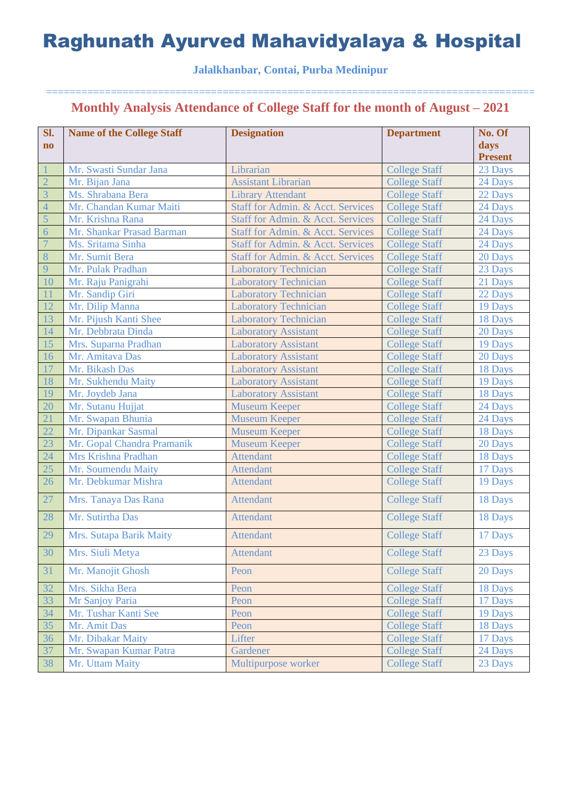### **Jalalkhanbar, Contai, Purba Medinipur**

| Sl.                    | <b>Name of the College Staff</b> | <b>Designation</b>                | <b>Department</b>    | No. Of         |
|------------------------|----------------------------------|-----------------------------------|----------------------|----------------|
| $\mathbf{n}\mathbf{o}$ |                                  |                                   |                      | days           |
|                        |                                  |                                   |                      | <b>Present</b> |
|                        | Mr. Swasti Sundar Jana           | Librarian                         | <b>College Staff</b> | 23 Days        |
| $\overline{2}$         | Mr. Bijan Jana                   | <b>Assistant Librarian</b>        | <b>College Staff</b> | 24 Days        |
| $\overline{3}$         | Ms. Shrabana Bera                | <b>Library Attendant</b>          | <b>College Staff</b> | 22 Days        |
| $\overline{4}$         | Mr. Chandan Kumar Maiti          | Staff for Admin. & Acct. Services | <b>College Staff</b> | 24 Days        |
| 5                      | Mr. Krishna Rana                 | Staff for Admin. & Acct. Services | <b>College Staff</b> | 24 Days        |
| $\overline{6}$         | Mr. Shankar Prasad Barman        | Staff for Admin. & Acct. Services | <b>College Staff</b> | 24 Days        |
| $\overline{7}$         | Ms. Sritama Sinha                | Staff for Admin. & Acct. Services | <b>College Staff</b> | 24 Days        |
| 8                      | Mr. Sumit Bera                   | Staff for Admin. & Acct. Services | <b>College Staff</b> | 20 Days        |
| 9                      | Mr. Pulak Pradhan                | <b>Laboratory Technician</b>      | <b>College Staff</b> | 23 Days        |
| 10                     | Mr. Raju Panigrahi               | <b>Laboratory Technician</b>      | <b>College Staff</b> | 21 Days        |
| 11                     | Mr. Sandip Giri                  | <b>Laboratory Technician</b>      | <b>College Staff</b> | 22 Days        |
| 12                     | Mr. Dilip Manna                  | <b>Laboratory Technician</b>      | <b>College Staff</b> | 19 Days        |
| 13                     | Mr. Pijush Kanti Shee            | <b>Laboratory Technician</b>      | <b>College Staff</b> | 18 Days        |
| 14                     | Mr. Debbrata Dinda               | <b>Laboratory Assistant</b>       | <b>College Staff</b> | 20 Days        |
| 15                     | Mrs. Suparna Pradhan             | <b>Laboratory Assistant</b>       | <b>College Staff</b> | 19 Days        |
| 16                     | Mr. Amitava Das                  | <b>Laboratory Assistant</b>       | <b>College Staff</b> | 20 Days        |
| 17                     | Mr. Bikash Das                   | <b>Laboratory Assistant</b>       | <b>College Staff</b> | 18 Days        |
| 18                     | Mr. Sukhendu Maity               | <b>Laboratory Assistant</b>       | <b>College Staff</b> | 19 Days        |
| 19                     | Mr. Joydeb Jana                  | <b>Laboratory Assistant</b>       | <b>College Staff</b> | 18 Days        |
| 20                     | Mr. Sutanu Hujjat                | <b>Museum Keeper</b>              | <b>College Staff</b> | 24 Days        |
| 21                     | Mr. Swapan Bhunia                | <b>Museum Keeper</b>              | <b>College Staff</b> | 24 Days        |
| 22                     | Mr. Dipankar Sasmal              | <b>Museum Keeper</b>              | <b>College Staff</b> | 18 Days        |
| 23                     | Mr. Gopal Chandra Pramanik       | <b>Museum Keeper</b>              | <b>College Staff</b> | 20 Days        |
| 24                     | Mrs Krishna Pradhan              | <b>Attendant</b>                  | <b>College Staff</b> | 18 Days        |
| 25                     | Mr. Soumendu Maity               | <b>Attendant</b>                  | <b>College Staff</b> | 17 Days        |
| 26                     | Mr. Debkumar Mishra              | <b>Attendant</b>                  | <b>College Staff</b> | 19 Days        |
| 27                     | Mrs. Tanaya Das Rana             | <b>Attendant</b>                  | <b>College Staff</b> | 18 Days        |
| 28                     | Mr. Sutirtha Das                 | <b>Attendant</b>                  | <b>College Staff</b> | 18 Days        |
| 29                     | Mrs. Sutapa Barik Maity          | <b>Attendant</b>                  | <b>College Staff</b> | 17 Days        |
| 30                     | Mrs. Siuli Metya                 | <b>Attendant</b>                  | <b>College Staff</b> | 23 Days        |
| 31                     | Mr. Manojit Ghosh                | Peon                              | <b>College Staff</b> | 20 Days        |
| 32                     | Mrs. Sikha Bera                  | Peon                              | <b>College Staff</b> | 18 Days        |
| 33                     | Mr Sanjoy Paria                  | Peon                              | <b>College Staff</b> | 17 Days        |
| 34                     | Mr. Tushar Kanti See             | Peon                              | <b>College Staff</b> | 19 Days        |
| 35                     | Mr. Amit Das                     | Peon                              | <b>College Staff</b> | 18 Days        |
| 36                     | Mr. Dibakar Maity                | Lifter                            | <b>College Staff</b> | 17 Days        |
| 37                     | Mr. Swapan Kumar Patra           | Gardener                          | <b>College Staff</b> | 24 Days        |
| 38                     | Mr. Uttam Maity                  | Multipurpose worker               | <b>College Staff</b> | 23 Days        |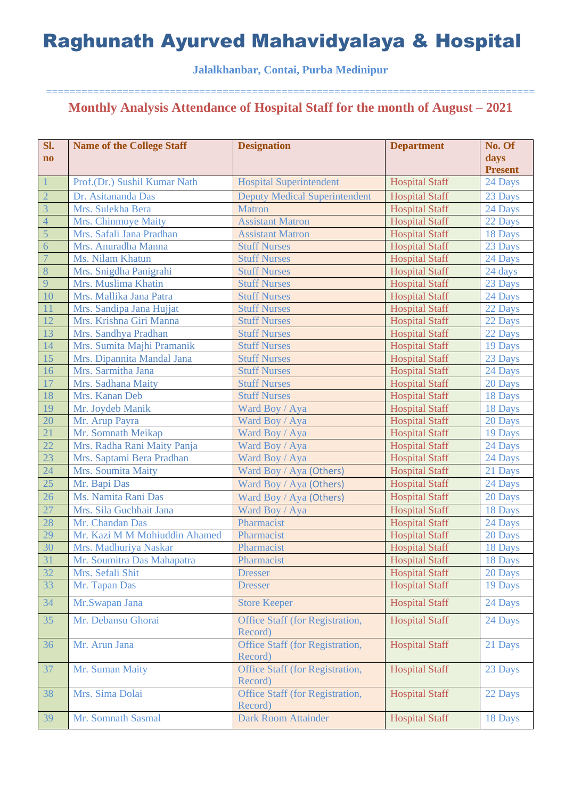### **Jalalkhanbar, Contai, Purba Medinipur**

| Sl.            | <b>Name of the College Staff</b> | <b>Designation</b>                                | <b>Department</b>     | No. Of         |
|----------------|----------------------------------|---------------------------------------------------|-----------------------|----------------|
| $\mathbf{no}$  |                                  |                                                   |                       | days           |
|                |                                  |                                                   |                       | <b>Present</b> |
| $\mathbf{1}$   | Prof.(Dr.) Sushil Kumar Nath     | <b>Hospital Superintendent</b>                    | <b>Hospital Staff</b> | 24 Days        |
| $\overline{2}$ | Dr. Asitananda Das               | <b>Deputy Medical Superintendent</b>              | <b>Hospital Staff</b> | 23 Days        |
| $\overline{3}$ | Mrs. Sulekha Bera                | <b>Matron</b>                                     | <b>Hospital Staff</b> | 24 Days        |
| $\overline{4}$ | Mrs. Chinmoye Maity              | <b>Assistant Matron</b>                           | <b>Hospital Staff</b> | 22 Days        |
| $\overline{5}$ | Mrs. Safali Jana Pradhan         | <b>Assistant Matron</b>                           | <b>Hospital Staff</b> | 18 Days        |
| 6              | Mrs. Anuradha Manna              | <b>Stuff Nurses</b>                               | <b>Hospital Staff</b> | 23 Days        |
| $\overline{7}$ | Ms. Nilam Khatun                 | <b>Stuff Nurses</b>                               | <b>Hospital Staff</b> | 24 Days        |
| 8              | Mrs. Snigdha Panigrahi           | <b>Stuff Nurses</b>                               | <b>Hospital Staff</b> | 24 days        |
| 9              | Mrs. Muslima Khatin              | <b>Stuff Nurses</b>                               | <b>Hospital Staff</b> | 23 Days        |
| 10             | Mrs. Mallika Jana Patra          | <b>Stuff Nurses</b>                               | <b>Hospital Staff</b> | 24 Days        |
| 11             | Mrs. Sandipa Jana Hujjat         | <b>Stuff Nurses</b>                               | <b>Hospital Staff</b> | 22 Days        |
| 12             | Mrs. Krishna Giri Manna          | <b>Stuff Nurses</b>                               | <b>Hospital Staff</b> | 22 Days        |
| 13             | Mrs. Sandhya Pradhan             | <b>Stuff Nurses</b>                               | <b>Hospital Staff</b> | 22 Days        |
| 14             | Mrs. Sumita Majhi Pramanik       | <b>Stuff Nurses</b>                               | <b>Hospital Staff</b> | 19 Days        |
| 15             | Mrs. Dipannita Mandal Jana       | <b>Stuff Nurses</b>                               | <b>Hospital Staff</b> | 23 Days        |
| 16             | Mrs. Sarmitha Jana               | <b>Stuff Nurses</b>                               | <b>Hospital Staff</b> | 24 Days        |
| 17             | Mrs. Sadhana Maity               | <b>Stuff Nurses</b>                               | <b>Hospital Staff</b> | 20 Days        |
| 18             | Mrs. Kanan Deb                   | <b>Stuff Nurses</b>                               | <b>Hospital Staff</b> | 18 Days        |
| 19             | Mr. Joydeb Manik                 | Ward Boy / Aya                                    | <b>Hospital Staff</b> | 18 Days        |
| 20             | Mr. Arup Payra                   | Ward Boy / Aya                                    | <b>Hospital Staff</b> | 20 Days        |
| 21             | Mr. Somnath Meikap               | Ward Boy / Aya                                    | <b>Hospital Staff</b> | 19 Days        |
| 22             | Mrs. Radha Rani Maity Panja      | Ward Boy / Aya                                    | <b>Hospital Staff</b> | 24 Days        |
| 23             | Mrs. Saptami Bera Pradhan        | Ward Boy / Aya                                    | <b>Hospital Staff</b> | 24 Days        |
| 24             | Mrs. Soumita Maity               | Ward Boy / Aya (Others)                           | <b>Hospital Staff</b> | 21 Days        |
| 25             | Mr. Bapi Das                     | Ward Boy / Aya (Others)                           | <b>Hospital Staff</b> | 24 Days        |
| 26             | Ms. Namita Rani Das              | Ward Boy / Aya (Others)                           | <b>Hospital Staff</b> | 20 Days        |
| 27             | Mrs. Sila Guchhait Jana          | Ward Boy / Aya                                    | <b>Hospital Staff</b> | 18 Days        |
| 28             | Mr. Chandan Das                  | Pharmacist                                        | <b>Hospital Staff</b> | 24 Days        |
| 29             | Mr. Kazi M M Mohiuddin Ahamed    | Pharmacist                                        | <b>Hospital Staff</b> | 20 Days        |
| 30             | Mrs. Madhuriya Naskar            | Pharmacist                                        | <b>Hospital Staff</b> | 18 Days        |
| 31             | Mr. Soumitra Das Mahapatra       | Pharmacist                                        | <b>Hospital Staff</b> | 18 Days        |
| 32             | Mrs. Sefali Shit                 | <b>Dresser</b>                                    | <b>Hospital Staff</b> | 20 Days        |
| 33             | Mr. Tapan Das                    | <b>Dresser</b>                                    | <b>Hospital Staff</b> | 19 Days        |
| 34             | Mr.Swapan Jana                   | <b>Store Keeper</b>                               | <b>Hospital Staff</b> | 24 Days        |
| 35             | Mr. Debansu Ghorai               | Office Staff (for Registration,<br>Record)        | <b>Hospital Staff</b> | 24 Days        |
| 36             | Mr. Arun Jana                    | <b>Office Staff (for Registration,</b><br>Record) | <b>Hospital Staff</b> | 21 Days        |
| 37             | Mr. Suman Maity                  | Office Staff (for Registration,<br>Record)        | <b>Hospital Staff</b> | 23 Days        |
| 38             | Mrs. Sima Dolai                  | <b>Office Staff (for Registration,</b><br>Record) | <b>Hospital Staff</b> | 22 Days        |
| 39             | Mr. Somnath Sasmal               | <b>Dark Room Attainder</b>                        | <b>Hospital Staff</b> | 18 Days        |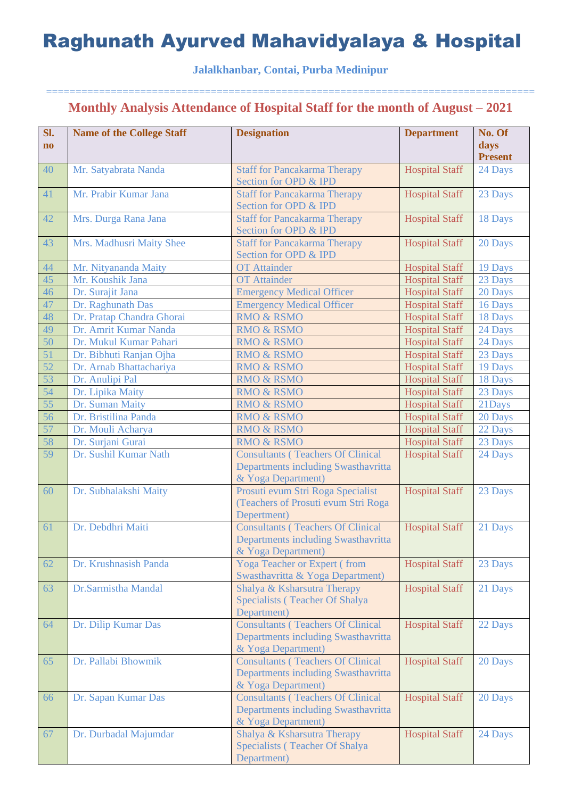### **Jalalkhanbar, Contai, Purba Medinipur**

| Sl.<br>$\bf{no}$ | <b>Name of the College Staff</b> | <b>Designation</b>                                                                                    | <b>Department</b>     | No. Of<br>days<br><b>Present</b> |
|------------------|----------------------------------|-------------------------------------------------------------------------------------------------------|-----------------------|----------------------------------|
| 40               | Mr. Satyabrata Nanda             | <b>Staff for Pancakarma Therapy</b><br>Section for OPD & IPD                                          | <b>Hospital Staff</b> | 24 Days                          |
| 41               | Mr. Prabir Kumar Jana            | <b>Staff for Pancakarma Therapy</b><br>Section for OPD & IPD                                          | <b>Hospital Staff</b> | 23 Days                          |
| 42               | Mrs. Durga Rana Jana             | <b>Staff for Pancakarma Therapy</b><br>Section for OPD & IPD                                          | <b>Hospital Staff</b> | 18 Days                          |
| 43               | Mrs. Madhusri Maity Shee         | <b>Staff for Pancakarma Therapy</b><br>Section for OPD & IPD                                          | <b>Hospital Staff</b> | 20 Days                          |
| 44               | Mr. Nityananda Maity             | <b>OT</b> Attainder                                                                                   | <b>Hospital Staff</b> | 19 Days                          |
| 45               | Mr. Koushik Jana                 | <b>OT</b> Attainder                                                                                   | <b>Hospital Staff</b> | 23 Days                          |
| 46               | Dr. Surajit Jana                 | <b>Emergency Medical Officer</b>                                                                      | <b>Hospital Staff</b> | 20 Days                          |
| 47               | Dr. Raghunath Das                | <b>Emergency Medical Officer</b>                                                                      | <b>Hospital Staff</b> | 16 Days                          |
| 48               | Dr. Pratap Chandra Ghorai        | <b>RMO &amp; RSMO</b>                                                                                 | <b>Hospital Staff</b> | 18 Days                          |
| 49               | Dr. Amrit Kumar Nanda            | <b>RMO &amp; RSMO</b>                                                                                 | <b>Hospital Staff</b> | 24 Days                          |
| 50               | Dr. Mukul Kumar Pahari           | <b>RMO &amp; RSMO</b>                                                                                 | <b>Hospital Staff</b> | 24 Days                          |
| 51               | Dr. Bibhuti Ranjan Ojha          | <b>RMO &amp; RSMO</b>                                                                                 | <b>Hospital Staff</b> | 23 Days                          |
| 52               | Dr. Arnab Bhattachariya          | <b>RMO &amp; RSMO</b>                                                                                 | <b>Hospital Staff</b> | 19 Days                          |
| 53               | Dr. Anulipi Pal                  | <b>RMO &amp; RSMO</b>                                                                                 | <b>Hospital Staff</b> | 18 Days                          |
| 54               | Dr. Lipika Maity                 | <b>RMO &amp; RSMO</b>                                                                                 | <b>Hospital Staff</b> | 23 Days                          |
| 55               | Dr. Suman Maity                  | <b>RMO &amp; RSMO</b>                                                                                 | <b>Hospital Staff</b> | 21Days                           |
| 56               | Dr. Bristilina Panda             | <b>RMO &amp; RSMO</b>                                                                                 | <b>Hospital Staff</b> | 20 Days                          |
| 57               | Dr. Mouli Acharya                | <b>RMO &amp; RSMO</b>                                                                                 | <b>Hospital Staff</b> | 22 Days                          |
| 58               | Dr. Surjani Gurai                | <b>RMO &amp; RSMO</b>                                                                                 | <b>Hospital Staff</b> | 23 Days                          |
| 59               | Dr. Sushil Kumar Nath            | <b>Consultants (Teachers Of Clinical</b><br>Departments including Swasthavritta<br>& Yoga Department) | <b>Hospital Staff</b> | 24 Days                          |
| 60               | Dr. Subhalakshi Maity            | Prosuti evum Stri Roga Specialist<br>(Teachers of Prosuti evum Stri Roga<br>Depertment)               | <b>Hospital Staff</b> | 23 Days                          |
| 61               | Dr. Debdhri Maiti                | <b>Consultants (Teachers Of Clinical</b><br>Departments including Swasthavritta<br>& Yoga Department) | <b>Hospital Staff</b> | 21 Days                          |
| 62               | Dr. Krushnasish Panda            | <b>Yoga Teacher or Expert (from</b><br>Swasthavritta & Yoga Department)                               | <b>Hospital Staff</b> | 23 Days                          |
| 63               | Dr.Sarmistha Mandal              | Shalya & Ksharsutra Therapy<br>Specialists (Teacher Of Shalya<br>Department)                          | <b>Hospital Staff</b> | 21 Days                          |
| 64               | Dr. Dilip Kumar Das              | <b>Consultants (Teachers Of Clinical</b><br>Departments including Swasthavritta<br>& Yoga Department) | <b>Hospital Staff</b> | 22 Days                          |
| 65               | Dr. Pallabi Bhowmik              | <b>Consultants (Teachers Of Clinical</b><br>Departments including Swasthavritta<br>& Yoga Department) | <b>Hospital Staff</b> | 20 Days                          |
| 66               | Dr. Sapan Kumar Das              | <b>Consultants (Teachers Of Clinical</b><br>Departments including Swasthavritta<br>& Yoga Department) | <b>Hospital Staff</b> | 20 Days                          |
| 67               | Dr. Durbadal Majumdar            | Shalya & Ksharsutra Therapy<br>Specialists (Teacher Of Shalya<br>Department)                          | <b>Hospital Staff</b> | 24 Days                          |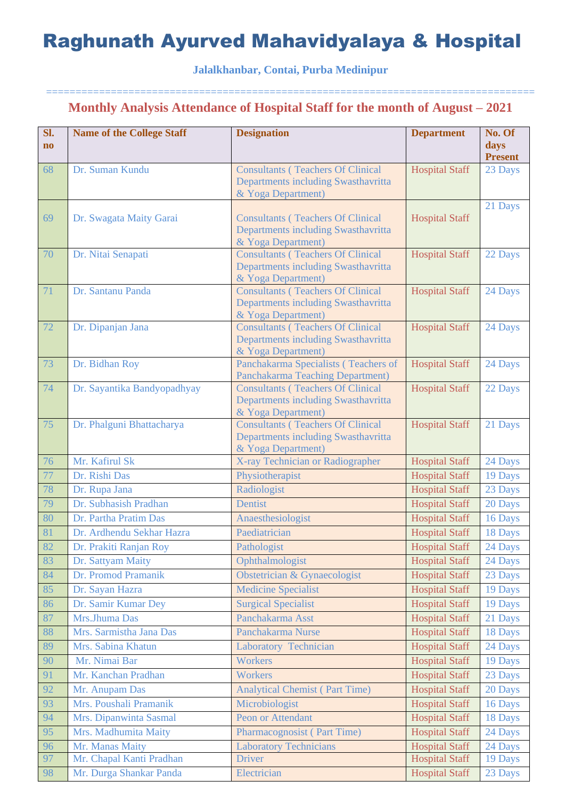### **Jalalkhanbar, Contai, Purba Medinipur**

| Sl.<br>$\mathbf{n}\mathbf{o}$ | <b>Name of the College Staff</b>            | <b>Designation</b>                                                                                    | <b>Department</b>                              | No. Of<br>days<br><b>Present</b> |
|-------------------------------|---------------------------------------------|-------------------------------------------------------------------------------------------------------|------------------------------------------------|----------------------------------|
| 68                            | Dr. Suman Kundu                             | <b>Consultants (Teachers Of Clinical</b><br>Departments including Swasthavritta<br>& Yoga Department) | <b>Hospital Staff</b>                          | 23 Days                          |
| 69                            | Dr. Swagata Maity Garai                     | <b>Consultants (Teachers Of Clinical</b><br>Departments including Swasthavritta<br>& Yoga Department) | <b>Hospital Staff</b>                          | 21 Days                          |
| 70                            | Dr. Nitai Senapati                          | <b>Consultants (Teachers Of Clinical</b><br>Departments including Swasthavritta<br>& Yoga Department) | <b>Hospital Staff</b>                          | 22 Days                          |
| 71                            | Dr. Santanu Panda                           | <b>Consultants (Teachers Of Clinical</b><br>Departments including Swasthavritta<br>& Yoga Department) | <b>Hospital Staff</b>                          | 24 Days                          |
| 72                            | Dr. Dipanjan Jana                           | <b>Consultants (Teachers Of Clinical</b><br>Departments including Swasthavritta<br>& Yoga Department) | <b>Hospital Staff</b>                          | 24 Days                          |
| 73                            | Dr. Bidhan Roy                              | Panchakarma Specialists (Teachers of<br>Panchakarma Teaching Department)                              | <b>Hospital Staff</b>                          | 24 Days                          |
| 74                            | Dr. Sayantika Bandyopadhyay                 | <b>Consultants (Teachers Of Clinical</b><br>Departments including Swasthavritta<br>& Yoga Department) | <b>Hospital Staff</b>                          | 22 Days                          |
| 75                            | Dr. Phalguni Bhattacharya                   | <b>Consultants (Teachers Of Clinical</b><br>Departments including Swasthavritta<br>& Yoga Department) | <b>Hospital Staff</b>                          | 21 Days                          |
| 76                            | Mr. Kafirul Sk                              | X-ray Technician or Radiographer                                                                      | <b>Hospital Staff</b>                          | 24 Days                          |
| 77                            | Dr. Rishi Das                               | Physiotherapist                                                                                       | <b>Hospital Staff</b>                          | 19 Days                          |
| 78                            | Dr. Rupa Jana                               | Radiologist                                                                                           | <b>Hospital Staff</b>                          | 23 Days                          |
| 79                            | Dr. Subhasish Pradhan                       | <b>Dentist</b>                                                                                        | <b>Hospital Staff</b>                          | 20 Days                          |
| 80                            | Dr. Partha Pratim Das                       | Anaesthesiologist                                                                                     | <b>Hospital Staff</b>                          | 16 Days                          |
| 81                            | Dr. Ardhendu Sekhar Hazra                   | Paediatrician                                                                                         | <b>Hospital Staff</b>                          | 18 Days                          |
| 82                            | Dr. Prakiti Ranjan Roy                      | Pathologist                                                                                           | <b>Hospital Staff</b>                          | 24 Days                          |
| 83                            | Dr. Sattyam Maity                           | Ophthalmologist                                                                                       | <b>Hospital Staff</b>                          | 24 Days                          |
| 84                            | Dr. Promod Pramanik                         | Obstetrician & Gynaecologist                                                                          | <b>Hospital Staff</b>                          | 23 Days                          |
| 85                            | Dr. Sayan Hazra                             | <b>Medicine Specialist</b>                                                                            | <b>Hospital Staff</b>                          | 19 Days                          |
| 86                            | Dr. Samir Kumar Dey                         | <b>Surgical Specialist</b>                                                                            | <b>Hospital Staff</b>                          | 19 Days                          |
| 87                            | Mrs.Jhuma Das                               | Panchakarma Asst                                                                                      | <b>Hospital Staff</b>                          | 21 Days                          |
| 88                            | Mrs. Sarmistha Jana Das                     | Panchakarma Nurse                                                                                     | <b>Hospital Staff</b>                          | 18 Days                          |
| 89                            | Mrs. Sabina Khatun                          | Laboratory Technician                                                                                 | <b>Hospital Staff</b>                          | 24 Days                          |
| 90                            | Mr. Nimai Bar                               | Workers                                                                                               | <b>Hospital Staff</b>                          | 19 Days                          |
| 91                            | Mr. Kanchan Pradhan                         | <b>Workers</b>                                                                                        | <b>Hospital Staff</b>                          | 23 Days                          |
| 92                            | Mr. Anupam Das                              | <b>Analytical Chemist (Part Time)</b>                                                                 | <b>Hospital Staff</b>                          | 20 Days                          |
| 93                            | Mrs. Poushali Pramanik                      | Microbiologist                                                                                        | <b>Hospital Staff</b>                          | 16 Days                          |
| 94                            | Mrs. Dipanwinta Sasmal                      | Peon or Attendant                                                                                     | <b>Hospital Staff</b>                          | 18 Days                          |
| 95                            | Mrs. Madhumita Maity                        | <b>Pharmacognosist (Part Time)</b>                                                                    | <b>Hospital Staff</b>                          | 24 Days                          |
| 96<br>97                      | Mr. Manas Maity<br>Mr. Chapal Kanti Pradhan | <b>Laboratory Technicians</b><br>Driver                                                               | <b>Hospital Staff</b><br><b>Hospital Staff</b> | 24 Days                          |
| 98                            | Mr. Durga Shankar Panda                     | Electrician                                                                                           | <b>Hospital Staff</b>                          | 19 Days<br>23 Days               |
|                               |                                             |                                                                                                       |                                                |                                  |